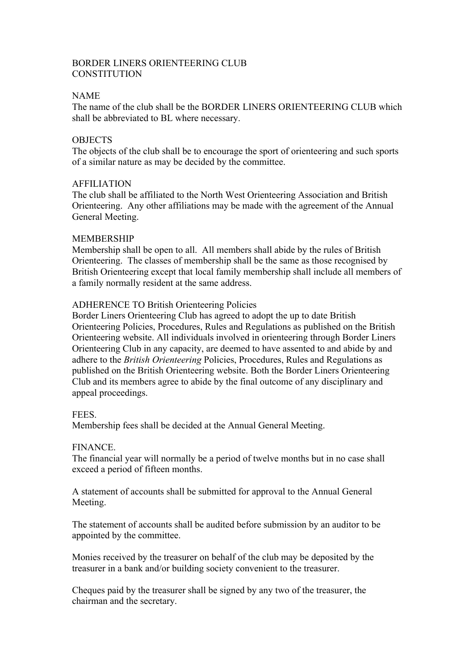# BORDER LINERS ORIENTEERING CLUB **CONSTITUTION**

# NAME

The name of the club shall be the BORDER LINERS ORIENTEERING CLUB which shall be abbreviated to BL where necessary.

## **OBJECTS**

The objects of the club shall be to encourage the sport of orienteering and such sports of a similar nature as may be decided by the committee.

# AFFILIATION

The club shall be affiliated to the North West Orienteering Association and British Orienteering. Any other affiliations may be made with the agreement of the Annual General Meeting.

## MEMBERSHIP

Membership shall be open to all. All members shall abide by the rules of British Orienteering. The classes of membership shall be the same as those recognised by British Orienteering except that local family membership shall include all members of a family normally resident at the same address.

# ADHERENCE TO British Orienteering Policies

Border Liners Orienteering Club has agreed to adopt the up to date British Orienteering Policies, Procedures, Rules and Regulations as published on the British Orienteering website. All individuals involved in orienteering through Border Liners Orienteering Club in any capacity, are deemed to have assented to and abide by and adhere to the *British Orienteering* Policies, Procedures, Rules and Regulations as published on the British Orienteering website. Both the Border Liners Orienteering Club and its members agree to abide by the final outcome of any disciplinary and appeal proceedings.

## FEES.

Membership fees shall be decided at the Annual General Meeting.

## **FINANCE**

The financial year will normally be a period of twelve months but in no case shall exceed a period of fifteen months.

A statement of accounts shall be submitted for approval to the Annual General Meeting.

The statement of accounts shall be audited before submission by an auditor to be appointed by the committee.

Monies received by the treasurer on behalf of the club may be deposited by the treasurer in a bank and/or building society convenient to the treasurer.

Cheques paid by the treasurer shall be signed by any two of the treasurer, the chairman and the secretary.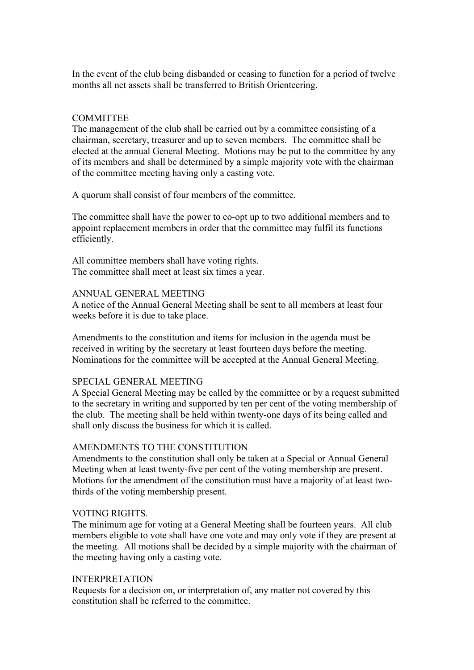In the event of the club being disbanded or ceasing to function for a period of twelve months all net assets shall be transferred to British Orienteering.

### **COMMITTEE**

The management of the club shall be carried out by a committee consisting of a chairman, secretary, treasurer and up to seven members. The committee shall be elected at the annual General Meeting. Motions may be put to the committee by any of its members and shall be determined by a simple majority vote with the chairman of the committee meeting having only a casting vote.

A quorum shall consist of four members of the committee.

The committee shall have the power to co-opt up to two additional members and to appoint replacement members in order that the committee may fulfil its functions efficiently.

All committee members shall have voting rights. The committee shall meet at least six times a year.

#### ANNUAL GENERAL MEETING

A notice of the Annual General Meeting shall be sent to all members at least four weeks before it is due to take place.

Amendments to the constitution and items for inclusion in the agenda must be received in writing by the secretary at least fourteen days before the meeting. Nominations for the committee will be accepted at the Annual General Meeting.

#### SPECIAL GENERAL MEETING

A Special General Meeting may be called by the committee or by a request submitted to the secretary in writing and supported by ten per cent of the voting membership of the club. The meeting shall be held within twenty-one days of its being called and shall only discuss the business for which it is called.

#### AMENDMENTS TO THE CONSTITUTION

Amendments to the constitution shall only be taken at a Special or Annual General Meeting when at least twenty-five per cent of the voting membership are present. Motions for the amendment of the constitution must have a majority of at least twothirds of the voting membership present.

#### VOTING RIGHTS.

The minimum age for voting at a General Meeting shall be fourteen years. All club members eligible to vote shall have one vote and may only vote if they are present at the meeting. All motions shall be decided by a simple majority with the chairman of the meeting having only a casting vote.

### INTERPRETATION

Requests for a decision on, or interpretation of, any matter not covered by this constitution shall be referred to the committee.